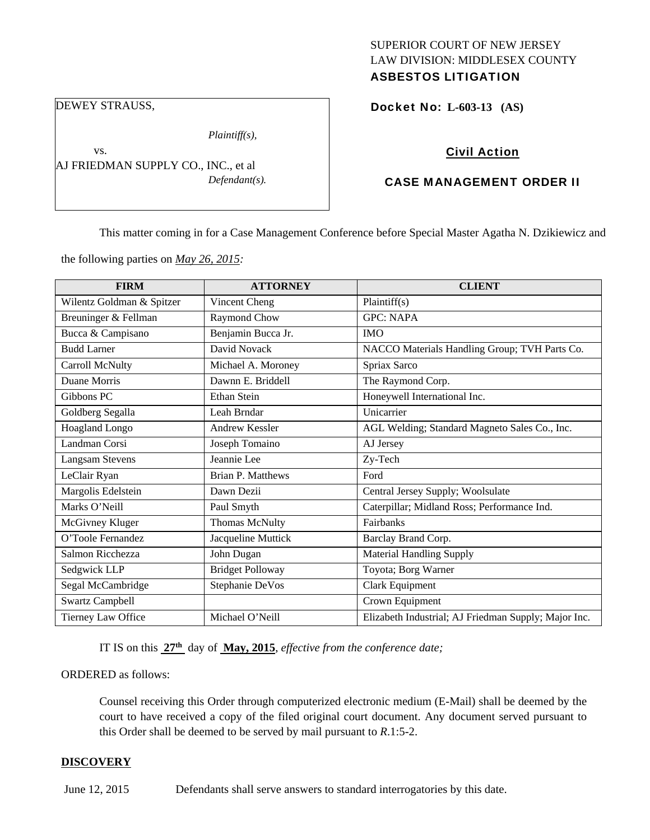### SUPERIOR COURT OF NEW JERSEY LAW DIVISION: MIDDLESEX COUNTY ASBESTOS LITIGATION

DEWEY STRAUSS,

vs.

*Plaintiff(s),* 

AJ FRIEDMAN SUPPLY CO., INC., et al *Defendant(s).*  Docket No: **L-603-13 (AS)** 

# Civil Action

## CASE MANAGEMENT ORDER II

This matter coming in for a Case Management Conference before Special Master Agatha N. Dzikiewicz and

the following parties on *May 26, 2015:* 

| <b>FIRM</b>               | <b>ATTORNEY</b>         | <b>CLIENT</b>                                        |
|---------------------------|-------------------------|------------------------------------------------------|
| Wilentz Goldman & Spitzer | Vincent Cheng           | Plaintiff(s)                                         |
| Breuninger & Fellman      | Raymond Chow            | <b>GPC: NAPA</b>                                     |
| Bucca & Campisano         | Benjamin Bucca Jr.      | <b>IMO</b>                                           |
| <b>Budd Larner</b>        | David Novack            | NACCO Materials Handling Group; TVH Parts Co.        |
| Carroll McNulty           | Michael A. Moroney      | Spriax Sarco                                         |
| Duane Morris              | Dawnn E. Briddell       | The Raymond Corp.                                    |
| Gibbons PC                | Ethan Stein             | Honeywell International Inc.                         |
| Goldberg Segalla          | Leah Brndar             | Unicarrier                                           |
| <b>Hoagland Longo</b>     | <b>Andrew Kessler</b>   | AGL Welding; Standard Magneto Sales Co., Inc.        |
| Landman Corsi             | Joseph Tomaino          | AJ Jersey                                            |
| <b>Langsam Stevens</b>    | Jeannie Lee             | Zy-Tech                                              |
| LeClair Ryan              | Brian P. Matthews       | Ford                                                 |
| Margolis Edelstein        | Dawn Dezii              | Central Jersey Supply; Woolsulate                    |
| Marks O'Neill             | Paul Smyth              | Caterpillar; Midland Ross; Performance Ind.          |
| McGivney Kluger           | Thomas McNulty          | Fairbanks                                            |
| O'Toole Fernandez         | Jacqueline Muttick      | Barclay Brand Corp.                                  |
| Salmon Ricchezza          | John Dugan              | <b>Material Handling Supply</b>                      |
| Sedgwick LLP              | <b>Bridget Polloway</b> | Toyota; Borg Warner                                  |
| Segal McCambridge         | Stephanie DeVos         | Clark Equipment                                      |
| <b>Swartz Campbell</b>    |                         | Crown Equipment                                      |
| Tierney Law Office        | Michael O'Neill         | Elizabeth Industrial; AJ Friedman Supply; Major Inc. |

IT IS on this **27th** day of **May, 2015**, *effective from the conference date;*

ORDERED as follows:

Counsel receiving this Order through computerized electronic medium (E-Mail) shall be deemed by the court to have received a copy of the filed original court document. Any document served pursuant to this Order shall be deemed to be served by mail pursuant to *R*.1:5-2.

#### **DISCOVERY**

June 12, 2015 Defendants shall serve answers to standard interrogatories by this date.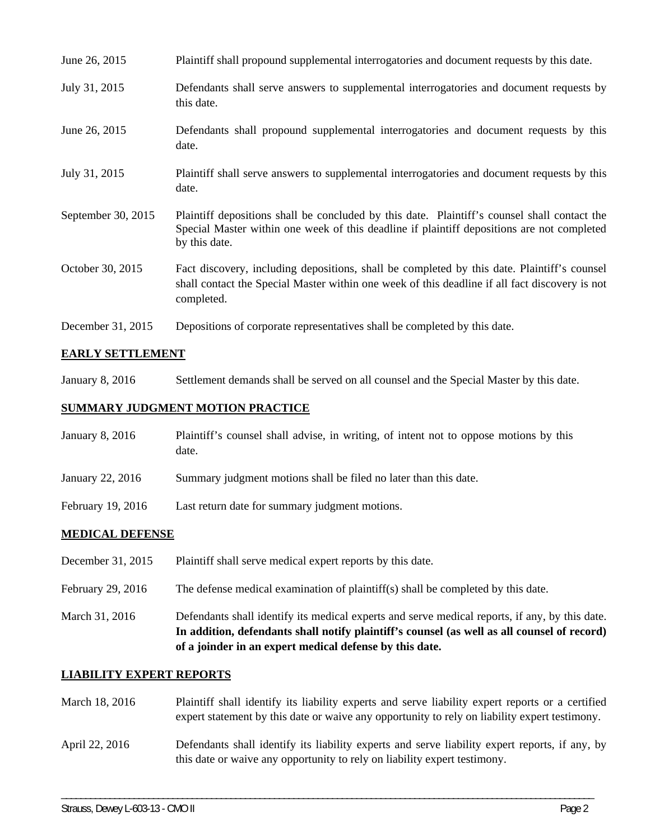| June 26, 2015      | Plaintiff shall propound supplemental interrogatories and document requests by this date.                                                                                                                   |
|--------------------|-------------------------------------------------------------------------------------------------------------------------------------------------------------------------------------------------------------|
| July 31, 2015      | Defendants shall serve answers to supplemental interrogatories and document requests by<br>this date.                                                                                                       |
| June 26, 2015      | Defendants shall propound supplemental interrogatories and document requests by this<br>date.                                                                                                               |
| July 31, 2015      | Plaintiff shall serve answers to supplemental interrogatories and document requests by this<br>date.                                                                                                        |
| September 30, 2015 | Plaintiff depositions shall be concluded by this date. Plaintiff's counsel shall contact the<br>Special Master within one week of this deadline if plaintiff depositions are not completed<br>by this date. |
| October 30, 2015   | Fact discovery, including depositions, shall be completed by this date. Plaintiff's counsel<br>shall contact the Special Master within one week of this deadline if all fact discovery is not<br>completed. |
| December 31, 2015  | Depositions of corporate representatives shall be completed by this date.                                                                                                                                   |

## **EARLY SETTLEMENT**

January 8, 2016 Settlement demands shall be served on all counsel and the Special Master by this date.

### **SUMMARY JUDGMENT MOTION PRACTICE**

| January 8, 2016   | Plaintiff's counsel shall advise, in writing, of intent not to oppose motions by this<br>date. |  |
|-------------------|------------------------------------------------------------------------------------------------|--|
| January 22, 2016  | Summary judgment motions shall be filed no later than this date.                               |  |
| February 19, 2016 | Last return date for summary judgment motions.                                                 |  |
| MEDICAL DEFENCE   |                                                                                                |  |

### **MEDICAL DEFENSE**

- December 31, 2015 Plaintiff shall serve medical expert reports by this date.
- February 29, 2016 The defense medical examination of plaintiff(s) shall be completed by this date.
- March 31, 2016 Defendants shall identify its medical experts and serve medical reports, if any, by this date. **In addition, defendants shall notify plaintiff's counsel (as well as all counsel of record) of a joinder in an expert medical defense by this date.**

#### **LIABILITY EXPERT REPORTS**

| March 18, 2016 | Plaintiff shall identify its liability experts and serve liability expert reports or a certified<br>expert statement by this date or waive any opportunity to rely on liability expert testimony. |
|----------------|---------------------------------------------------------------------------------------------------------------------------------------------------------------------------------------------------|
| April 22, 2016 | Defendants shall identify its liability experts and serve liability expert reports, if any, by<br>this date or waive any opportunity to rely on liability expert testimony.                       |

\_\_\_\_\_\_\_\_\_\_\_\_\_\_\_\_\_\_\_\_\_\_\_\_\_\_\_\_\_\_\_\_\_\_\_\_\_\_\_\_\_\_\_\_\_\_\_\_\_\_\_\_\_\_\_\_\_\_\_\_\_\_\_\_\_\_\_\_\_\_\_\_\_\_\_\_\_\_\_\_\_\_\_\_\_\_\_\_\_\_\_\_\_\_\_\_\_\_\_\_\_\_\_\_\_\_\_\_\_\_